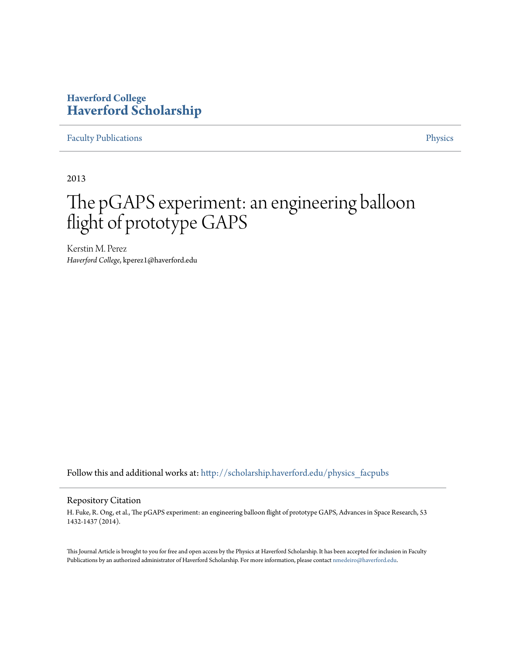### **Haverford College [Haverford Scholarship](http://scholarship.haverford.edu?utm_source=scholarship.haverford.edu%2Fphysics_facpubs%2F350&utm_medium=PDF&utm_campaign=PDFCoverPages)**

[Faculty Publications](http://scholarship.haverford.edu/physics_facpubs?utm_source=scholarship.haverford.edu%2Fphysics_facpubs%2F350&utm_medium=PDF&utm_campaign=PDFCoverPages) **[Physics](http://scholarship.haverford.edu/physics?utm_source=scholarship.haverford.edu%2Fphysics_facpubs%2F350&utm_medium=PDF&utm_campaign=PDFCoverPages)** 

2013

# The pGAPS experiment: an engineering balloon flight of prototype GAPS

Kerstin M. Perez *Haverford College*, kperez1@haverford.edu

Follow this and additional works at: [http://scholarship.haverford.edu/physics\\_facpubs](http://scholarship.haverford.edu/physics_facpubs?utm_source=scholarship.haverford.edu%2Fphysics_facpubs%2F350&utm_medium=PDF&utm_campaign=PDFCoverPages)

#### Repository Citation

H. Fuke, R. Ong, et al., The pGAPS experiment: an engineering balloon flight of prototype GAPS, Advances in Space Research, 53 1432-1437 (2014).

This Journal Article is brought to you for free and open access by the Physics at Haverford Scholarship. It has been accepted for inclusion in Faculty Publications by an authorized administrator of Haverford Scholarship. For more information, please contact [nmedeiro@haverford.edu](mailto:nmedeiro@haverford.edu).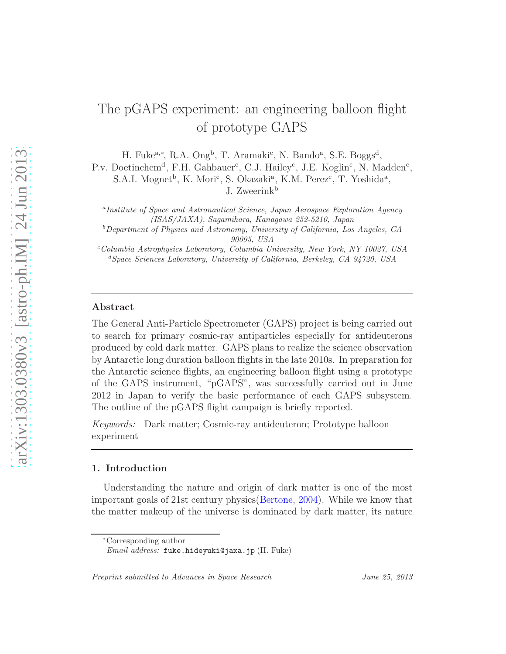## The pGAPS experiment: an engineering balloon flight of prototype GAPS

H. Fuke<sup>a,\*</sup>, R.A. Ong<sup>b</sup>, T. Aramaki<sup>c</sup>, N. Bando<sup>a</sup>, S.E. Boggs<sup>d</sup>,

P.v. Doetinchem<sup>d</sup>, F.H. Gahbauer<sup>c</sup>, C.J. Hailey<sup>c</sup>, J.E. Koglin<sup>c</sup>, N. Madden<sup>c</sup>,

S.A.I. Mognet<sup>b</sup>, K. Mori<sup>c</sup>, S. Okazaki<sup>a</sup>, K.M. Perez<sup>c</sup>, T. Yoshida<sup>a</sup>, J. Zweerink<sup>b</sup>

<sup>a</sup> Institute of Space and Astronautical Science, Japan Aerospace Exploration Agency (ISAS/JAXA), Sagamihara, Kanagawa 252-5210, Japan

 $b$ Department of Physics and Astronomy, University of California, Los Angeles, CA 90095, USA

 $c$ Columbia Astrophysics Laboratory, Columbia University, New York, NY 10027, USA <sup>d</sup>Space Sciences Laboratory, University of California, Berkeley, CA 94720, USA

#### Abstract

The General Anti-Particle Spectrometer (GAPS) project is being carried out to search for primary cosmic-ray antiparticles especially for antideuterons produced by cold dark matter. GAPS plans to realize the science observation by Antarctic long duration balloon flights in the late 2010s. In preparation for the Antarctic science flights, an engineering balloon flight using a prototype of the GAPS instrument, "pGAPS", was successfully carried out in June 2012 in Japan to verify the basic performance of each GAPS subsystem. The outline of the pGAPS flight campaign is briefly reported.

Keywords: Dark matter; Cosmic-ray antideuteron; Prototype balloon experiment

#### 1. Introduction

Understanding the nature and origin of dark matter is one of the most important goals of 21st century physics[\(Bertone](#page-8-0), [2004\)](#page-8-0). While we know that the matter makeup of the universe is dominated by dark matter, its nature

Preprint submitted to Advances in Space Research June 25, 2013

<sup>∗</sup>Corresponding author

Email address: fuke.hideyuki@jaxa.jp (H. Fuke)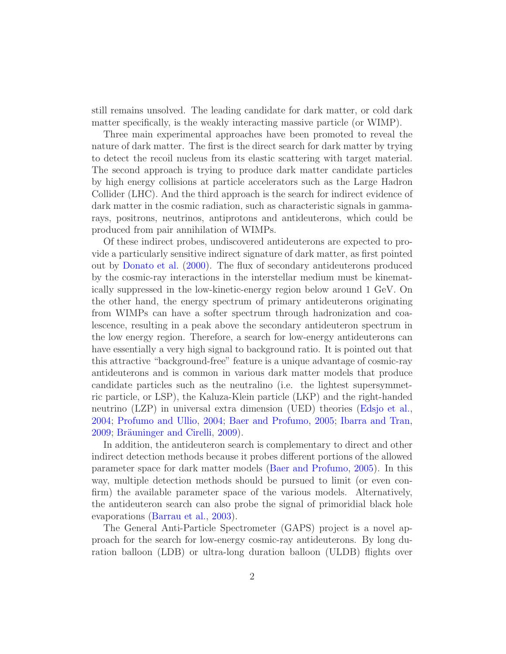still remains unsolved. The leading candidate for dark matter, or cold dark matter specifically, is the weakly interacting massive particle (or WIMP).

Three main experimental approaches have been promoted to reveal the nature of dark matter. The first is the direct search for dark matter by trying to detect the recoil nucleus from its elastic scattering with target material. The second approach is trying to produce dark matter candidate particles by high energy collisions at particle accelerators such as the Large Hadron Collider (LHC). And the third approach is the search for indirect evidence of dark matter in the cosmic radiation, such as characteristic signals in gammarays, positrons, neutrinos, antiprotons and antideuterons, which could be produced from pair annihilation of WIMPs.

Of these indirect probes, undiscovered antideuterons are expected to provide a particularly sensitive indirect signature of dark matter, as first pointed out by [Donato et al.](#page-8-1) [\(2000\)](#page-8-1). The flux of secondary antideuterons produced by the cosmic-ray interactions in the interstellar medium must be kinematically suppressed in the low-kinetic-energy region below around 1 GeV. On the other hand, the energy spectrum of primary antideuterons originating from WIMPs can have a softer spectrum through hadronization and coalescence, resulting in a peak above the secondary antideuteron spectrum in the low energy region. Therefore, a search for low-energy antideuterons can have essentially a very high signal to background ratio. It is pointed out that this attractive "background-free" feature is a unique advantage of cosmic-ray antideuterons and is common in various dark matter models that produce candidate particles such as the neutralino (i.e. the lightest supersymmetric particle, or LSP), the Kaluza-Klein particle (LKP) and the right-handed neutrino (LZP) in universal extra dimension (UED) theories [\(Edsjo et al.](#page-8-2), [2004](#page-8-2); [Profumo and Ullio](#page-9-0), [2004;](#page-9-0) [Baer and Profumo](#page-8-3), [2005;](#page-8-3) [Ibarra and Tran](#page-9-1), [2009](#page-8-4); Bräuninger and Cirelli, 2009).

In addition, the antideuteron search is complementary to direct and other indirect detection methods because it probes different portions of the allowed parameter space for dark matter models [\(Baer and Profumo](#page-8-3), [2005](#page-8-3)). In this way, multiple detection methods should be pursued to limit (or even confirm) the available parameter space of the various models. Alternatively, the antideuteron search can also probe the signal of primoridial black hole evaporations [\(Barrau et al.](#page-8-5), [2003\)](#page-8-5).

The General Anti-Particle Spectrometer (GAPS) project is a novel approach for the search for low-energy cosmic-ray antideuterons. By long duration balloon (LDB) or ultra-long duration balloon (ULDB) flights over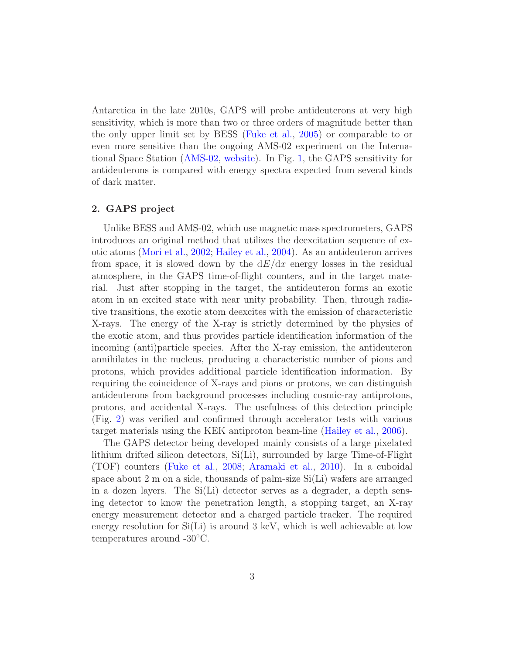Antarctica in the late 2010s, GAPS will probe antideuterons at very high sensitivity, which is more than two or three orders of magnitude better than the only upper limit set by BESS [\(Fuke et al.,](#page-8-6) [2005](#page-8-6)) or comparable to or even more sensitive than the ongoing AMS-02 experiment on the International Space Station [\(AMS-02](#page-7-0), [website\)](#page-7-0). In Fig. [1,](#page-10-0) the GAPS sensitivity for antideuterons is compared with energy spectra expected from several kinds of dark matter.

#### 2. GAPS project

Unlike BESS and AMS-02, which use magnetic mass spectrometers, GAPS introduces an original method that utilizes the deexcitation sequence of exotic atoms [\(Mori et al.,](#page-9-2) [2002;](#page-9-2) [Hailey et al.](#page-9-3), [2004](#page-9-3)). As an antideuteron arrives from space, it is slowed down by the  $dE/dx$  energy losses in the residual atmosphere, in the GAPS time-of-flight counters, and in the target material. Just after stopping in the target, the antideuteron forms an exotic atom in an excited state with near unity probability. Then, through radiative transitions, the exotic atom deexcites with the emission of characteristic X-rays. The energy of the X-ray is strictly determined by the physics of the exotic atom, and thus provides particle identification information of the incoming (anti)particle species. After the X-ray emission, the antideuteron annihilates in the nucleus, producing a characteristic number of pions and protons, which provides additional particle identification information. By requiring the coincidence of X-rays and pions or protons, we can distinguish antideuterons from background processes including cosmic-ray antiprotons, protons, and accidental X-rays. The usefulness of this detection principle (Fig. [2\)](#page-11-0) was verified and confirmed through accelerator tests with various target materials using the KEK antiproton beam-line [\(Hailey et al.](#page-9-4), [2006\)](#page-9-4).

The GAPS detector being developed mainly consists of a large pixelated lithium drifted silicon detectors, Si(Li), surrounded by large Time-of-Flight (TOF) counters [\(Fuke et al.,](#page-8-7) [2008;](#page-8-7) [Aramaki et al.,](#page-8-8) [2010](#page-8-8)). In a cuboidal space about 2 m on a side, thousands of palm-size Si(Li) wafers are arranged in a dozen layers. The  $Si(Li)$  detector serves as a degrader, a depth sensing detector to know the penetration length, a stopping target, an X-ray energy measurement detector and a charged particle tracker. The required energy resolution for  $Si(Li)$  is around 3 keV, which is well achievable at low temperatures around -30◦C.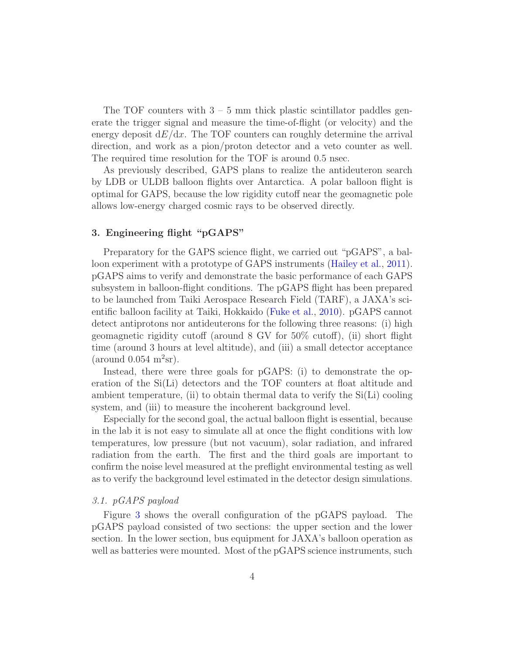The TOF counters with  $3 - 5$  mm thick plastic scintillator paddles generate the trigger signal and measure the time-of-flight (or velocity) and the energy deposit  $dE/dx$ . The TOF counters can roughly determine the arrival direction, and work as a pion/proton detector and a veto counter as well. The required time resolution for the TOF is around 0.5 nsec.

As previously described, GAPS plans to realize the antideuteron search by LDB or ULDB balloon flights over Antarctica. A polar balloon flight is optimal for GAPS, because the low rigidity cutoff near the geomagnetic pole allows low-energy charged cosmic rays to be observed directly.

#### 3. Engineering flight "pGAPS"

Preparatory for the GAPS science flight, we carried out "pGAPS", a balloon experiment with a prototype of GAPS instruments [\(Hailey et al.,](#page-9-5) [2011\)](#page-9-5). pGAPS aims to verify and demonstrate the basic performance of each GAPS subsystem in balloon-flight conditions. The pGAPS flight has been prepared to be launched from Taiki Aerospace Research Field (TARF), a JAXA's scientific balloon facility at Taiki, Hokkaido [\(Fuke et al.,](#page-8-9) [2010\)](#page-8-9). pGAPS cannot detect antiprotons nor antideuterons for the following three reasons: (i) high geomagnetic rigidity cutoff (around 8 GV for 50% cutoff), (ii) short flight time (around 3 hours at level altitude), and (iii) a small detector acceptance (around  $0.054 \text{ m}^2\text{sr}$ ).

Instead, there were three goals for pGAPS: (i) to demonstrate the operation of the Si(Li) detectors and the TOF counters at float altitude and ambient temperature, (ii) to obtain thermal data to verify the  $Si(Li)$  cooling system, and (iii) to measure the incoherent background level.

Especially for the second goal, the actual balloon flight is essential, because in the lab it is not easy to simulate all at once the flight conditions with low temperatures, low pressure (but not vacuum), solar radiation, and infrared radiation from the earth. The first and the third goals are important to confirm the noise level measured at the preflight environmental testing as well as to verify the background level estimated in the detector design simulations.

#### 3.1. pGAPS payload

Figure [3](#page-12-0) shows the overall configuration of the pGAPS payload. The pGAPS payload consisted of two sections: the upper section and the lower section. In the lower section, bus equipment for JAXA's balloon operation as well as batteries were mounted. Most of the pGAPS science instruments, such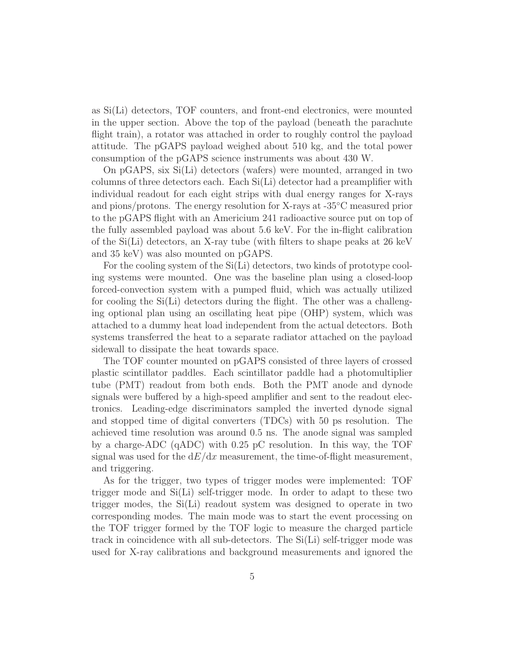as Si(Li) detectors, TOF counters, and front-end electronics, were mounted in the upper section. Above the top of the payload (beneath the parachute flight train), a rotator was attached in order to roughly control the payload attitude. The pGAPS payload weighed about 510 kg, and the total power consumption of the pGAPS science instruments was about 430 W.

On pGAPS, six Si(Li) detectors (wafers) were mounted, arranged in two columns of three detectors each. Each Si(Li) detector had a preamplifier with individual readout for each eight strips with dual energy ranges for X-rays and pions/protons. The energy resolution for X-rays at -35◦C measured prior to the pGAPS flight with an Americium 241 radioactive source put on top of the fully assembled payload was about 5.6 keV. For the in-flight calibration of the Si(Li) detectors, an X-ray tube (with filters to shape peaks at 26 keV and 35 keV) was also mounted on pGAPS.

For the cooling system of the Si(Li) detectors, two kinds of prototype cooling systems were mounted. One was the baseline plan using a closed-loop forced-convection system with a pumped fluid, which was actually utilized for cooling the Si(Li) detectors during the flight. The other was a challenging optional plan using an oscillating heat pipe (OHP) system, which was attached to a dummy heat load independent from the actual detectors. Both systems transferred the heat to a separate radiator attached on the payload sidewall to dissipate the heat towards space.

The TOF counter mounted on pGAPS consisted of three layers of crossed plastic scintillator paddles. Each scintillator paddle had a photomultiplier tube (PMT) readout from both ends. Both the PMT anode and dynode signals were buffered by a high-speed amplifier and sent to the readout electronics. Leading-edge discriminators sampled the inverted dynode signal and stopped time of digital converters (TDCs) with 50 ps resolution. The achieved time resolution was around 0.5 ns. The anode signal was sampled by a charge-ADC (qADC) with 0.25 pC resolution. In this way, the TOF signal was used for the  $dE/dx$  measurement, the time-of-flight measurement, and triggering.

As for the trigger, two types of trigger modes were implemented: TOF trigger mode and Si(Li) self-trigger mode. In order to adapt to these two trigger modes, the Si(Li) readout system was designed to operate in two corresponding modes. The main mode was to start the event processing on the TOF trigger formed by the TOF logic to measure the charged particle track in coincidence with all sub-detectors. The Si(Li) self-trigger mode was used for X-ray calibrations and background measurements and ignored the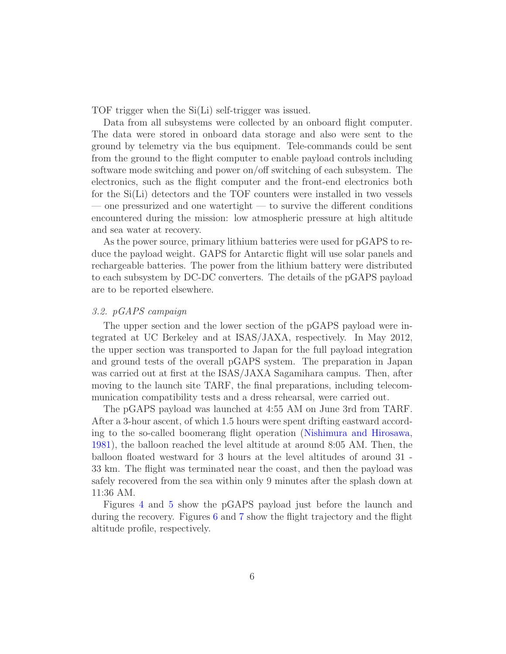TOF trigger when the Si(Li) self-trigger was issued.

Data from all subsystems were collected by an onboard flight computer. The data were stored in onboard data storage and also were sent to the ground by telemetry via the bus equipment. Tele-commands could be sent from the ground to the flight computer to enable payload controls including software mode switching and power on/off switching of each subsystem. The electronics, such as the flight computer and the front-end electronics both for the Si(Li) detectors and the TOF counters were installed in two vessels — one pressurized and one watertight — to survive the different conditions encountered during the mission: low atmospheric pressure at high altitude and sea water at recovery.

As the power source, primary lithium batteries were used for pGAPS to reduce the payload weight. GAPS for Antarctic flight will use solar panels and rechargeable batteries. The power from the lithium battery were distributed to each subsystem by DC-DC converters. The details of the pGAPS payload are to be reported elsewhere.

#### 3.2. pGAPS campaign

The upper section and the lower section of the pGAPS payload were integrated at UC Berkeley and at ISAS/JAXA, respectively. In May 2012, the upper section was transported to Japan for the full payload integration and ground tests of the overall pGAPS system. The preparation in Japan was carried out at first at the ISAS/JAXA Sagamihara campus. Then, after moving to the launch site TARF, the final preparations, including telecommunication compatibility tests and a dress rehearsal, were carried out.

The pGAPS payload was launched at 4:55 AM on June 3rd from TARF. After a 3-hour ascent, of which 1.5 hours were spent drifting eastward according to the so-called boomerang flight operation [\(Nishimura and Hirosawa](#page-9-6), [1981](#page-9-6)), the balloon reached the level altitude at around 8:05 AM. Then, the balloon floated westward for 3 hours at the level altitudes of around 31 - 33 km. The flight was terminated near the coast, and then the payload was safely recovered from the sea within only 9 minutes after the splash down at 11:36 AM.

Figures [4](#page-13-0) and [5](#page-14-0) show the pGAPS payload just before the launch and during the recovery. Figures [6](#page-15-0) and [7](#page-16-0) show the flight trajectory and the flight altitude profile, respectively.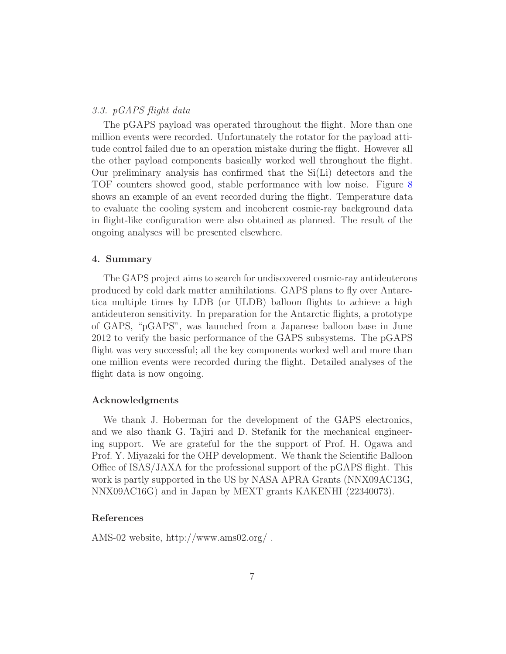#### 3.3. pGAPS flight data

The pGAPS payload was operated throughout the flight. More than one million events were recorded. Unfortunately the rotator for the payload attitude control failed due to an operation mistake during the flight. However all the other payload components basically worked well throughout the flight. Our preliminary analysis has confirmed that the Si(Li) detectors and the TOF counters showed good, stable performance with low noise. Figure [8](#page-17-0) shows an example of an event recorded during the flight. Temperature data to evaluate the cooling system and incoherent cosmic-ray background data in flight-like configuration were also obtained as planned. The result of the ongoing analyses will be presented elsewhere.

#### 4. Summary

The GAPS project aims to search for undiscovered cosmic-ray antideuterons produced by cold dark matter annihilations. GAPS plans to fly over Antarctica multiple times by LDB (or ULDB) balloon flights to achieve a high antideuteron sensitivity. In preparation for the Antarctic flights, a prototype of GAPS, "pGAPS", was launched from a Japanese balloon base in June 2012 to verify the basic performance of the GAPS subsystems. The pGAPS flight was very successful; all the key components worked well and more than one million events were recorded during the flight. Detailed analyses of the flight data is now ongoing.

#### Acknowledgments

We thank J. Hoberman for the development of the GAPS electronics, and we also thank G. Tajiri and D. Stefanik for the mechanical engineering support. We are grateful for the the support of Prof. H. Ogawa and Prof. Y. Miyazaki for the OHP development. We thank the Scientific Balloon Office of ISAS/JAXA for the professional support of the pGAPS flight. This work is partly supported in the US by NASA APRA Grants (NNX09AC13G, NNX09AC16G) and in Japan by MEXT grants KAKENHI (22340073).

#### References

<span id="page-7-0"></span>AMS-02 website, http://www.ams02.org/ .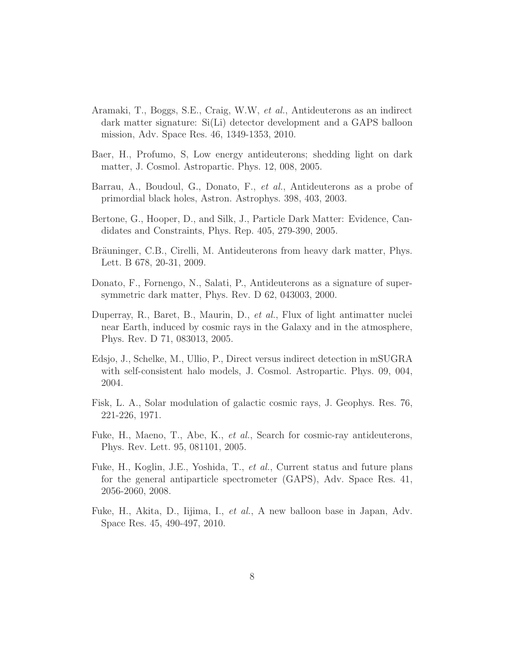- <span id="page-8-8"></span>Aramaki, T., Boggs, S.E., Craig, W.W, et al., Antideuterons as an indirect dark matter signature: Si(Li) detector development and a GAPS balloon mission, Adv. Space Res. 46, 1349-1353, 2010.
- <span id="page-8-3"></span>Baer, H., Profumo, S, Low energy antideuterons; shedding light on dark matter, J. Cosmol. Astropartic. Phys. 12, 008, 2005.
- <span id="page-8-5"></span>Barrau, A., Boudoul, G., Donato, F., et al., Antideuterons as a probe of primordial black holes, Astron. Astrophys. 398, 403, 2003.
- <span id="page-8-0"></span>Bertone, G., Hooper, D., and Silk, J., Particle Dark Matter: Evidence, Candidates and Constraints, Phys. Rep. 405, 279-390, 2005.
- <span id="page-8-4"></span>Bräuninger, C.B., Cirelli, M. Antideuterons from heavy dark matter, Phys. Lett. B 678, 20-31, 2009.
- <span id="page-8-1"></span>Donato, F., Fornengo, N., Salati, P., Antideuterons as a signature of supersymmetric dark matter, Phys. Rev. D 62, 043003, 2000.
- <span id="page-8-10"></span>Duperray, R., Baret, B., Maurin, D., et al., Flux of light antimatter nuclei near Earth, induced by cosmic rays in the Galaxy and in the atmosphere, Phys. Rev. D 71, 083013, 2005.
- <span id="page-8-2"></span>Edsjo, J., Schelke, M., Ullio, P., Direct versus indirect detection in mSUGRA with self-consistent halo models, J. Cosmol. Astropartic. Phys. 09, 004, 2004.
- <span id="page-8-11"></span>Fisk, L. A., Solar modulation of galactic cosmic rays, J. Geophys. Res. 76, 221-226, 1971.
- <span id="page-8-6"></span>Fuke, H., Maeno, T., Abe, K., et al., Search for cosmic-ray antideuterons, Phys. Rev. Lett. 95, 081101, 2005.
- <span id="page-8-7"></span>Fuke, H., Koglin, J.E., Yoshida, T., et al., Current status and future plans for the general antiparticle spectrometer (GAPS), Adv. Space Res. 41, 2056-2060, 2008.
- <span id="page-8-9"></span>Fuke, H., Akita, D., Iijima, I., et al., A new balloon base in Japan, Adv. Space Res. 45, 490-497, 2010.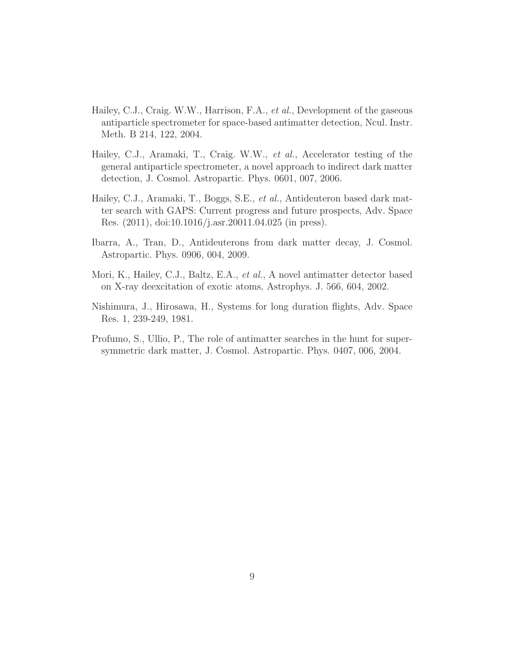- <span id="page-9-3"></span>Hailey, C.J., Craig. W.W., Harrison, F.A., et al., Development of the gaseous antiparticle spectrometer for space-based antimatter detection, Ncul. Instr. Meth. B 214, 122, 2004.
- <span id="page-9-4"></span>Hailey, C.J., Aramaki, T., Craig. W.W., et al., Accelerator testing of the general antiparticle spectrometer, a novel approach to indirect dark matter detection, J. Cosmol. Astropartic. Phys. 0601, 007, 2006.
- <span id="page-9-5"></span>Hailey, C.J., Aramaki, T., Boggs, S.E., et al., Antideuteron based dark matter search with GAPS: Current progress and future prospects, Adv. Space Res. (2011), doi:10.1016/j.asr.20011.04.025 (in press).
- <span id="page-9-1"></span>Ibarra, A., Tran, D., Antideuterons from dark matter decay, J. Cosmol. Astropartic. Phys. 0906, 004, 2009.
- <span id="page-9-2"></span>Mori, K., Hailey, C.J., Baltz, E.A., et al., A novel antimatter detector based on X-ray deexcitation of exotic atoms, Astrophys. J. 566, 604, 2002.
- <span id="page-9-6"></span>Nishimura, J., Hirosawa, H., Systems for long duration flights, Adv. Space Res. 1, 239-249, 1981.
- <span id="page-9-0"></span>Profumo, S., Ullio, P., The role of antimatter searches in the hunt for supersymmetric dark matter, J. Cosmol. Astropartic. Phys. 0407, 006, 2004.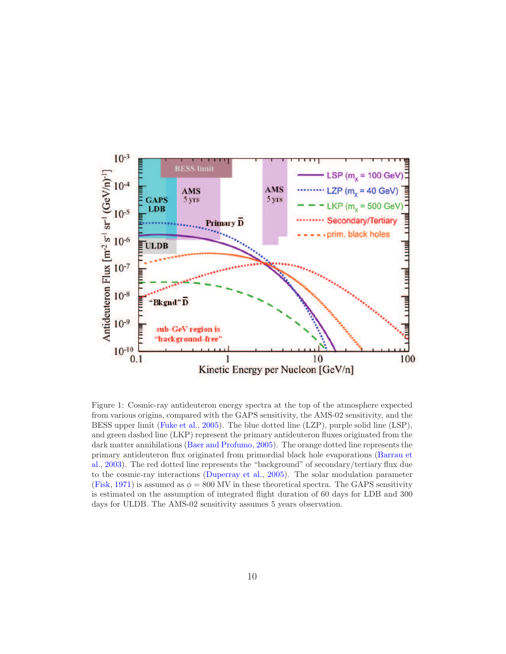

<span id="page-10-0"></span>Figure 1: Cosmic-ray antideuteron energy spectra at the top of the atmosphere expected from various origins, compared with the GAPS sensitivity, the AMS-02 sensitivity, and the BESS upper limit [\(Fuke et al.](#page-8-6), [2005\)](#page-8-6). The blue dotted line (LZP), purple solid line (LSP), and green dashed line (LKP) represent the primary antideuteron fluxes originated from the dark matter annihilations [\(Baer and Profumo](#page-8-3), [2005](#page-8-3)). The orange dotted line represents the pr[imary antideuteron flux originated from primordial black hole evaporations \(](#page-8-5)Barrau et al., [2003](#page-8-5)). The red dotted line represents the "background" of secondary/tertiary flux due to the cosmic-ray interactions [\(Duperray et al.](#page-8-10), [2005\)](#page-8-10). The solar modulation parameter [\(Fisk](#page-8-11), [1971\)](#page-8-11) is assumed as  $\phi = 800$  MV in these theoretical spectra. The GAPS sensitivity is estimated on the assumption of integrated flight duration of 60 days for LDB and 300 days for ULDB. The AMS-02 sensitivity assumes 5 years observation.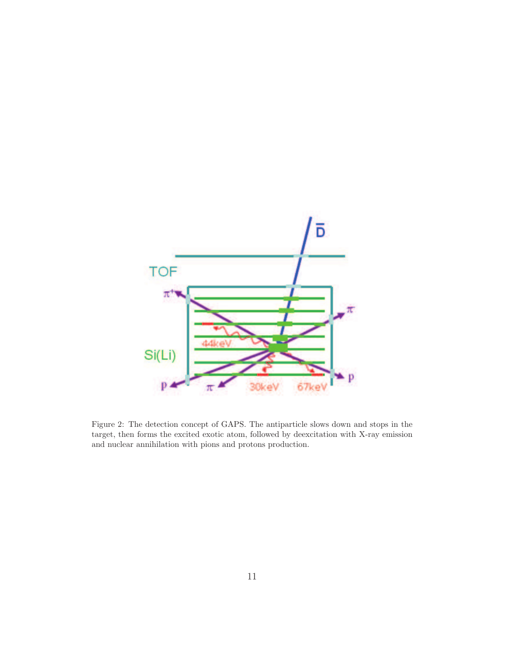

<span id="page-11-0"></span>Figure 2: The detection concept of GAPS. The antiparticle slows down and stops in the target, then forms the excited exotic atom, followed by deexcitation with X-ray emission and nuclear annihilation with pions and protons production.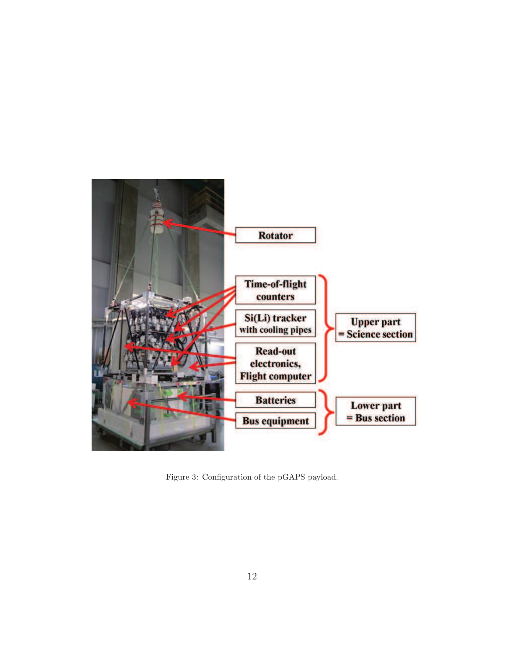<span id="page-12-0"></span>

Figure 3: Configuration of the pGAPS payload.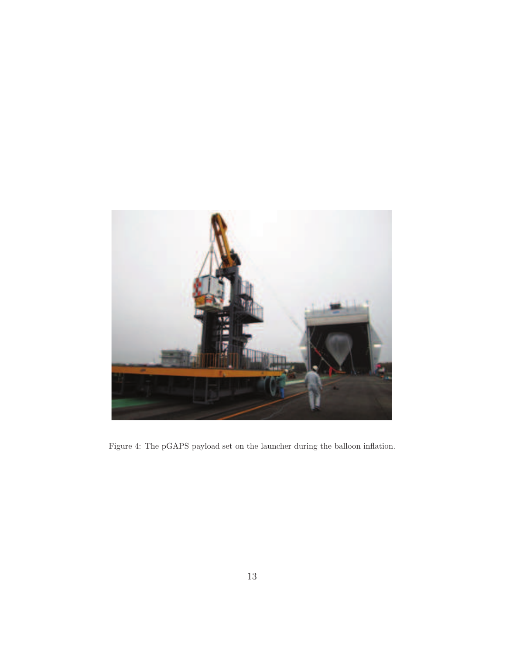<span id="page-13-0"></span>

Figure 4: The pGAPS payload set on the launcher during the balloon inflation.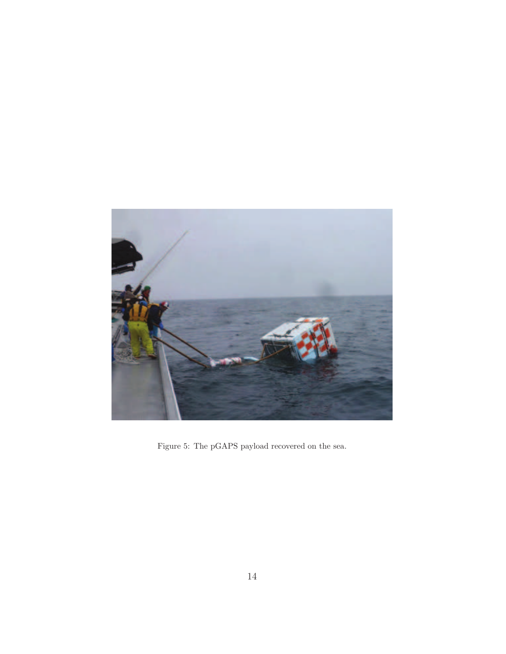<span id="page-14-0"></span>

Figure 5: The pGAPS payload recovered on the sea.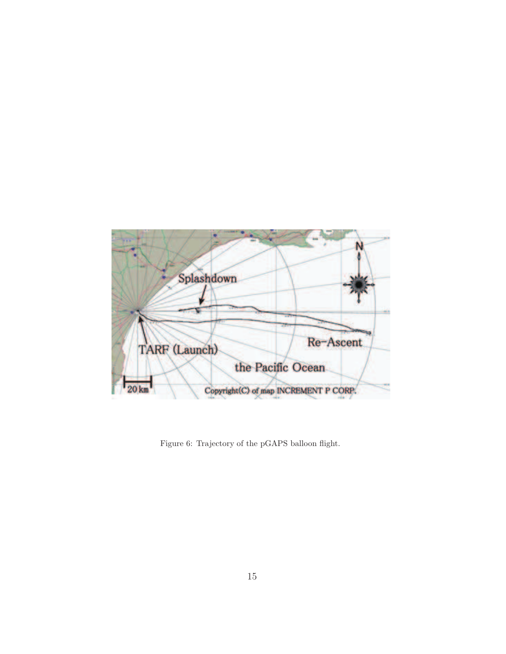<span id="page-15-0"></span>

Figure 6: Trajectory of the pGAPS balloon flight.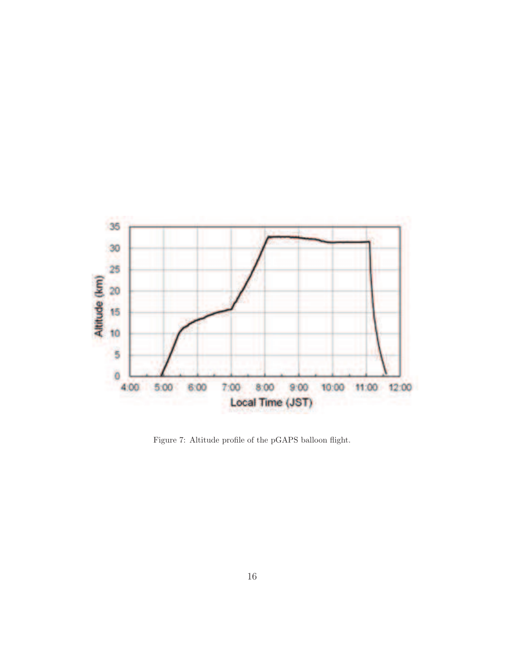

<span id="page-16-0"></span>Figure 7: Altitude profile of the pGAPS balloon flight.